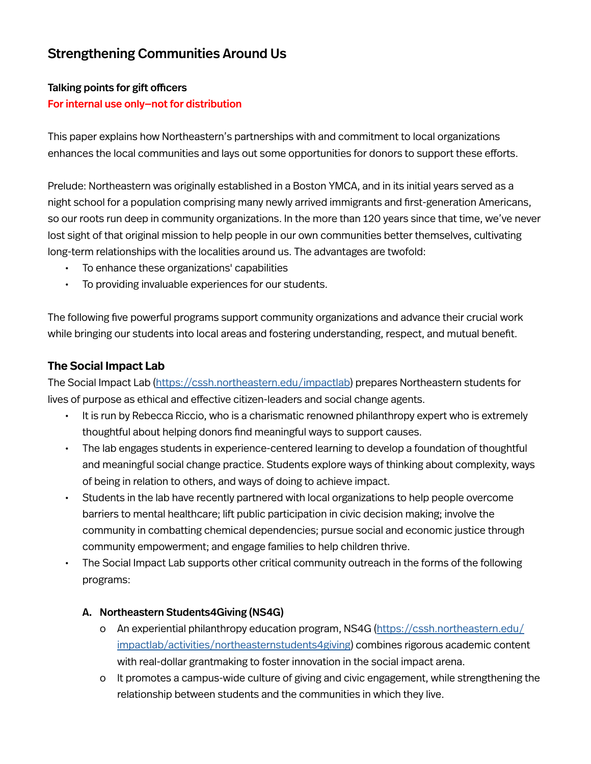# Strengthening Communities Around Us

# Talking points for gift officers

## For internal use only—not for distribution

This paper explains how Northeastern's partnerships with and commitment to local organizations enhances the local communities and lays out some opportunities for donors to support these efforts.

Prelude: Northeastern was originally established in a Boston YMCA, and in its initial years served as a night school for a population comprising many newly arrived immigrants and first-generation Americans, so our roots run deep in community organizations. In the more than 120 years since that time, we've never lost sight of that original mission to help people in our own communities better themselves, cultivating long-term relationships with the localities around us. The advantages are twofold:

- To enhance these organizations' capabilities
- To providing invaluable experiences for our students.

The following five powerful programs support community organizations and advance their crucial work while bringing our students into local areas and fostering understanding, respect, and mutual benefit.

### **The Social Impact Lab**

The Social Impact Lab ([https://cssh.northeastern.edu/impactlab\)](https://cssh.northeastern.edu/impactlab) prepares Northeastern students for lives of purpose as ethical and effective citizen-leaders and social change agents.

- It is run by Rebecca Riccio, who is a charismatic renowned philanthropy expert who is extremely thoughtful about helping donors find meaningful ways to support causes.
- The lab engages students in experience-centered learning to develop a foundation of thoughtful and meaningful social change practice. Students explore ways of thinking about complexity, ways of being in relation to others, and ways of doing to achieve impact.
- Students in the lab have recently partnered with local organizations to help people overcome barriers to mental healthcare; lift public participation in civic decision making; involve the community in combatting chemical dependencies; pursue social and economic justice through community empowerment; and engage families to help children thrive.
- The Social Impact Lab supports other critical community outreach in the forms of the following programs:

#### A. Northeastern Students4Giving (NS4G)

- o An experiential philanthropy education program, NS4G ([https://cssh.northeastern.edu/](https://cssh.northeastern.edu/impactlab/activities/northeasternstudents4giving) [impactlab/activities/northeasternstudents4giving](https://cssh.northeastern.edu/impactlab/activities/northeasternstudents4giving)) combines rigorous academic content with real-dollar grantmaking to foster innovation in the social impact arena.
- o It promotes a campus-wide culture of giving and civic engagement, while strengthening the relationship between students and the communities in which they live.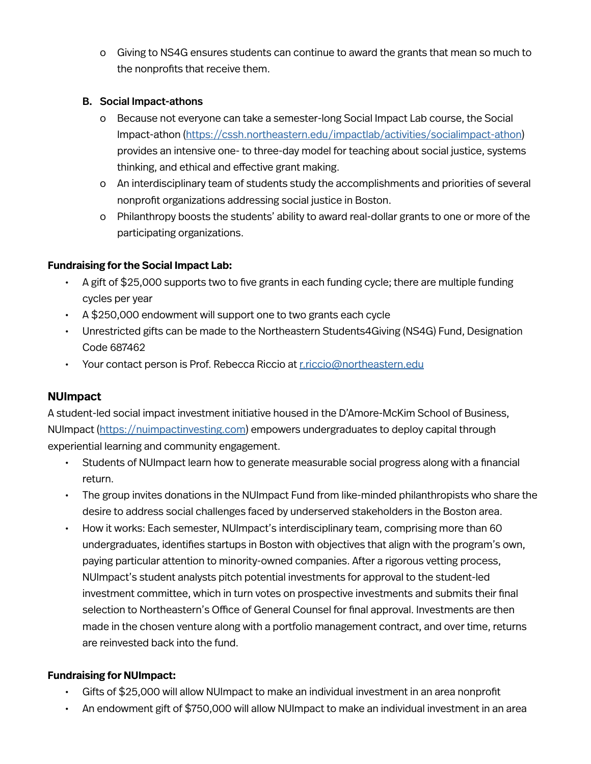o Giving to NS4G ensures students can continue to award the grants that mean so much to the nonprofits that receive them.

#### B. Social Impact-athons

- o Because not everyone can take a semester-long Social Impact Lab course, the Social Impact-athon ([https://cssh.northeastern.edu/impactlab/activities/socialimpact-athon\)](https://cssh.northeastern.edu/impactlab/activities/socialimpact-athon) provides an intensive one- to three-day model for teaching about social justice, systems thinking, and ethical and effective grant making.
- o An interdisciplinary team of students study the accomplishments and priorities of several nonprofit organizations addressing social justice in Boston.
- o Philanthropy boosts the students' ability to award real-dollar grants to one or more of the participating organizations.

### **Fundraising for the Social Impact Lab:**

- A gift of \$25,000 supports two to five grants in each funding cycle; there are multiple funding cycles per year
- A \$250,000 endowment will support one to two grants each cycle
- Unrestricted gifts can be made to the Northeastern Students4Giving (NS4G) Fund, Designation Code 687462
- Your contact person is Prof. Rebecca Riccio at [r.riccio@northeastern.edu](mailto:r.riccio%40northeastern.edu?subject=)

# **NUImpact**

A student-led social impact investment initiative housed in the D'Amore-McKim School of Business, NUImpact [\(https://nuimpactinvesting.com\)](https://nuimpactinvesting.com) empowers undergraduates to deploy capital through experiential learning and community engagement.

- Students of NUImpact learn how to generate measurable social progress along with a financial return.
- The group invites donations in the NUImpact Fund from like-minded philanthropists who share the desire to address social challenges faced by underserved stakeholders in the Boston area.
- How it works: Each semester, NUImpact's interdisciplinary team, comprising more than 60 undergraduates, identifies startups in Boston with objectives that align with the program's own, paying particular attention to minority-owned companies. After a rigorous vetting process, NUImpact's student analysts pitch potential investments for approval to the student-led investment committee, which in turn votes on prospective investments and submits their final selection to Northeastern's Office of General Counsel for final approval. Investments are then made in the chosen venture along with a portfolio management contract, and over time, returns are reinvested back into the fund.

# **Fundraising for NUImpact:**

- Gifts of \$25,000 will allow NUImpact to make an individual investment in an area nonprofit
- An endowment gift of \$750,000 will allow NUImpact to make an individual investment in an area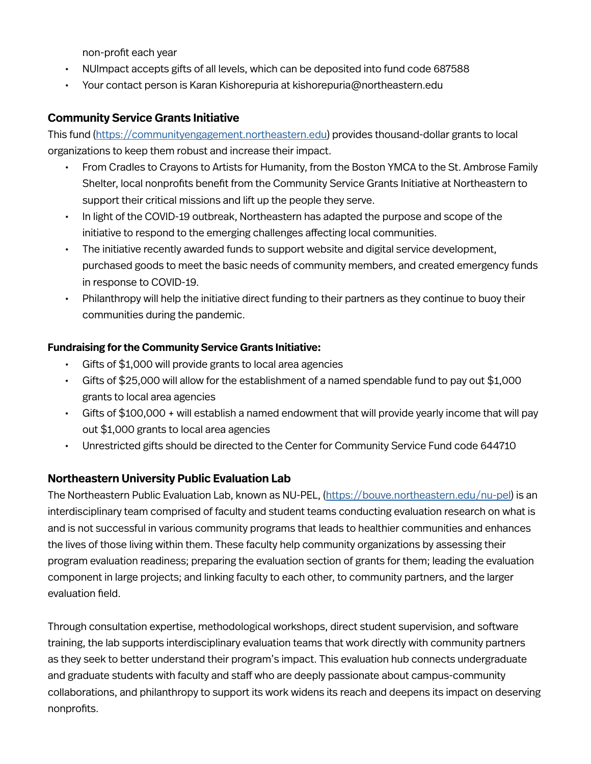non-profit each year

- NUImpact accepts gifts of all levels, which can be deposited into fund code 687588
- Your contact person is Karan Kishorepuria at kishorepuria@northeastern.edu

# **Community Service Grants Initiative**

This fund [\(https://communityengagement.northeastern.edu\)](https://communityengagement.northeastern.edu) provides thousand-dollar grants to local organizations to keep them robust and increase their impact.

- From Cradles to Crayons to Artists for Humanity, from the Boston YMCA to the St. Ambrose Family Shelter, local nonprofits benefit from the Community Service Grants Initiative at Northeastern to support their critical missions and lift up the people they serve.
- In light of the COVID-19 outbreak, Northeastern has adapted the purpose and scope of the initiative to respond to the emerging challenges affecting local communities.
- The initiative recently awarded funds to support website and digital service development, purchased goods to meet the basic needs of community members, and created emergency funds in response to COVID-19.
- Philanthropy will help the initiative direct funding to their partners as they continue to buoy their communities during the pandemic.

#### **Fundraising for the Community Service Grants Initiative:**

- Gifts of \$1,000 will provide grants to local area agencies
- Gifts of \$25,000 will allow for the establishment of a named spendable fund to pay out \$1,000 grants to local area agencies
- Gifts of \$100,000 + will establish a named endowment that will provide yearly income that will pay out \$1,000 grants to local area agencies
- Unrestricted gifts should be directed to the Center for Community Service Fund code 644710

#### **Northeastern University Public Evaluation Lab**

The Northeastern Public Evaluation Lab, known as NU-PEL, (<https://bouve.northeastern.edu/nu-pel>) is an interdisciplinary team comprised of faculty and student teams conducting evaluation research on what is and is not successful in various community programs that leads to healthier communities and enhances the lives of those living within them. These faculty help community organizations by assessing their program evaluation readiness; preparing the evaluation section of grants for them; leading the evaluation component in large projects; and linking faculty to each other, to community partners, and the larger evaluation field.

Through consultation expertise, methodological workshops, direct student supervision, and software training, the lab supports interdisciplinary evaluation teams that work directly with community partners as they seek to better understand their program's impact. This evaluation hub connects undergraduate and graduate students with faculty and staff who are deeply passionate about campus-community collaborations, and philanthropy to support its work widens its reach and deepens its impact on deserving nonprofits.